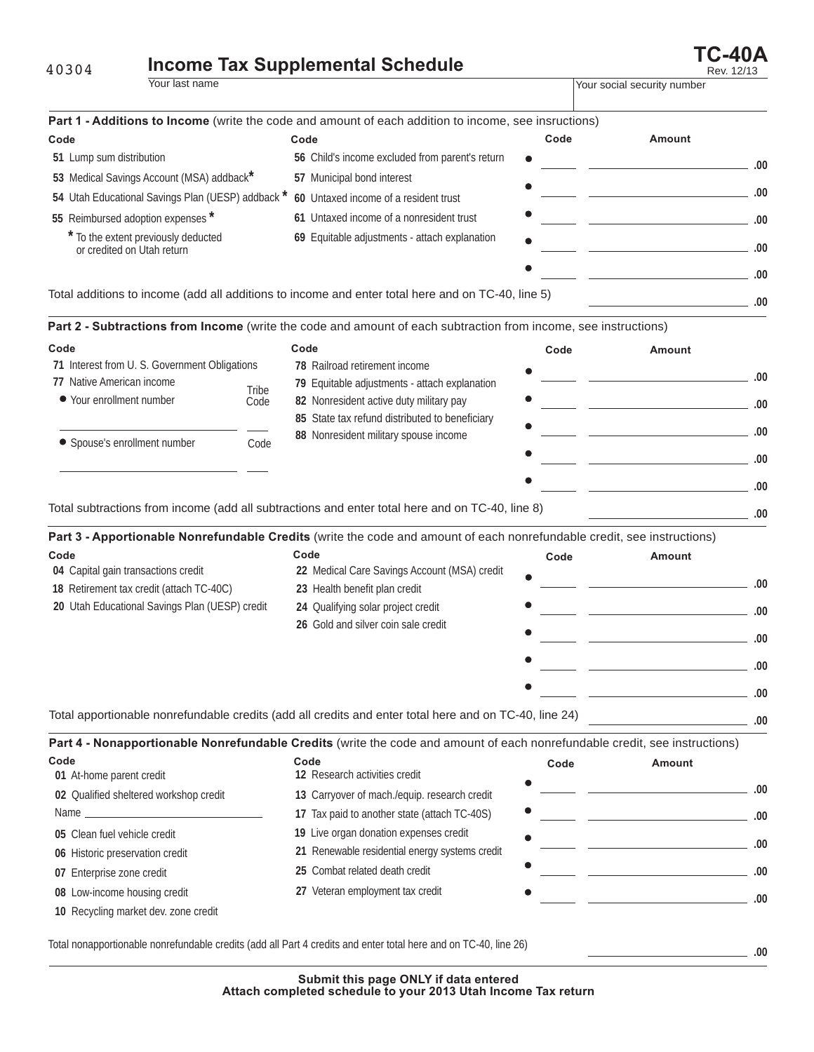## **Income Tax Supplemental Schedule Income Tax Supplemental Schedule Income TC-40A** 40304

| المتحاط لممتنا والمتاريخ المتأمر والمتحاط المتحد |  |
|--------------------------------------------------|--|

| Your last name                                                     |                                                |                                                                                                                            | Your social security number |                                                                                                                        |      |
|--------------------------------------------------------------------|------------------------------------------------|----------------------------------------------------------------------------------------------------------------------------|-----------------------------|------------------------------------------------------------------------------------------------------------------------|------|
|                                                                    |                                                | Part 1 - Additions to Income (write the code and amount of each addition to income, see insructions)                       |                             |                                                                                                                        |      |
| Code                                                               |                                                | Code                                                                                                                       | Code                        | Amount                                                                                                                 |      |
| 51 Lump sum distribution                                           |                                                | 56 Child's income excluded from parent's return                                                                            |                             |                                                                                                                        |      |
| 53 Medical Savings Account (MSA) addback*                          |                                                | 57 Municipal bond interest                                                                                                 |                             |                                                                                                                        | .00  |
| 54 Utah Educational Savings Plan (UESP) addback *                  |                                                | 60 Untaxed income of a resident trust                                                                                      |                             |                                                                                                                        | .00  |
| 55 Reimbursed adoption expenses *                                  |                                                | 61 Untaxed income of a nonresident trust                                                                                   |                             | <u> 1989 - Andrea Stadt, fransk politiker (d. 1989)</u>                                                                | .00  |
| To the extent previously deducted<br>or credited on Utah return    |                                                | 69 Equitable adjustments - attach explanation                                                                              |                             |                                                                                                                        |      |
|                                                                    |                                                |                                                                                                                            |                             |                                                                                                                        | .00  |
|                                                                    |                                                |                                                                                                                            |                             | the control of the control of the control of the control of                                                            | .00  |
|                                                                    |                                                | Total additions to income (add all additions to income and enter total here and on TC-40, line 5)                          |                             | the control of the control of the control of                                                                           | .00  |
|                                                                    |                                                | Part 2 - Subtractions from Income (write the code and amount of each subtraction from income, see instructions)            |                             |                                                                                                                        |      |
| Code                                                               |                                                | Code                                                                                                                       | Code                        | Amount                                                                                                                 |      |
| 71 Interest from U. S. Government Obligations                      |                                                | 78 Railroad retirement income                                                                                              |                             |                                                                                                                        |      |
| 77 Native American income                                          | Tribe                                          | 79 Equitable adjustments - attach explanation                                                                              |                             |                                                                                                                        | .00  |
| ● Your enrollment number                                           | Code                                           | 82 Nonresident active duty military pay                                                                                    |                             |                                                                                                                        | .00  |
|                                                                    | 85 State tax refund distributed to beneficiary |                                                                                                                            |                             | .00                                                                                                                    |      |
| • Spouse's enrollment number<br>Code                               | 88 Nonresident military spouse income          |                                                                                                                            |                             |                                                                                                                        |      |
|                                                                    |                                                |                                                                                                                            |                             | .00                                                                                                                    |      |
|                                                                    |                                                |                                                                                                                            |                             |                                                                                                                        | .00  |
|                                                                    |                                                | Total subtractions from income (add all subtractions and enter total here and on TC-40, line 8)                            |                             |                                                                                                                        | .00  |
|                                                                    |                                                | Part 3 - Apportionable Nonrefundable Credits (write the code and amount of each nonrefundable credit, see instructions)    |                             |                                                                                                                        |      |
| Code                                                               |                                                | Code                                                                                                                       | Code                        | <b>Amount</b>                                                                                                          |      |
| 04 Capital gain transactions credit                                |                                                | 22 Medical Care Savings Account (MSA) credit                                                                               |                             |                                                                                                                        |      |
| 18 Retirement tax credit (attach TC-40C)                           |                                                | 23 Health benefit plan credit                                                                                              |                             |                                                                                                                        | .00. |
| 20 Utah Educational Savings Plan (UESP) credit                     |                                                | 24 Qualifying solar project credit                                                                                         |                             |                                                                                                                        | .00  |
|                                                                    | 26 Gold and silver coin sale credit            |                                                                                                                            |                             |                                                                                                                        |      |
|                                                                    |                                                |                                                                                                                            |                             |                                                                                                                        | .00  |
|                                                                    |                                                |                                                                                                                            |                             |                                                                                                                        | .00  |
|                                                                    |                                                |                                                                                                                            |                             |                                                                                                                        | .00  |
|                                                                    |                                                | Total apportionable nonrefundable credits (add all credits and enter total here and on TC-40, line 24)                     |                             |                                                                                                                        | .00  |
|                                                                    |                                                | Part 4 - Nonapportionable Nonrefundable Credits (write the code and amount of each nonrefundable credit, see instructions) |                             |                                                                                                                        |      |
| Code                                                               |                                                | Code<br>12 Research activities credit                                                                                      | Code                        | Amount                                                                                                                 |      |
| 01 At-home parent credit<br>02 Qualified sheltered workshop credit |                                                |                                                                                                                            |                             |                                                                                                                        | .00  |
|                                                                    |                                                | 13 Carryover of mach./equip. research credit                                                                               |                             |                                                                                                                        |      |
|                                                                    |                                                | 17 Tax paid to another state (attach TC-40S)<br>19 Live organ donation expenses credit                                     |                             | <u> The Common State of the Common State of the Common State of the Common State of the Common State of the Common</u> | .00  |
| 05 Clean fuel vehicle credit                                       |                                                | 21 Renewable residential energy systems credit                                                                             |                             | the control of the control of the control of the control of the                                                        | .00  |
| 06 Historic preservation credit                                    |                                                | 25 Combat related death credit                                                                                             |                             |                                                                                                                        |      |
| 07 Enterprise zone credit                                          |                                                |                                                                                                                            |                             | the control of the control of the control of the control of                                                            | .00  |
| 08 Low-income housing credit                                       |                                                | 27 Veteran employment tax credit                                                                                           |                             |                                                                                                                        | .00  |
| 10 Recycling market dev. zone credit                               |                                                |                                                                                                                            |                             |                                                                                                                        |      |

Total nonapportionable nonrefundable credits (add all Part 4 credits and enter total here and on TC-40, line 26)

**.00**